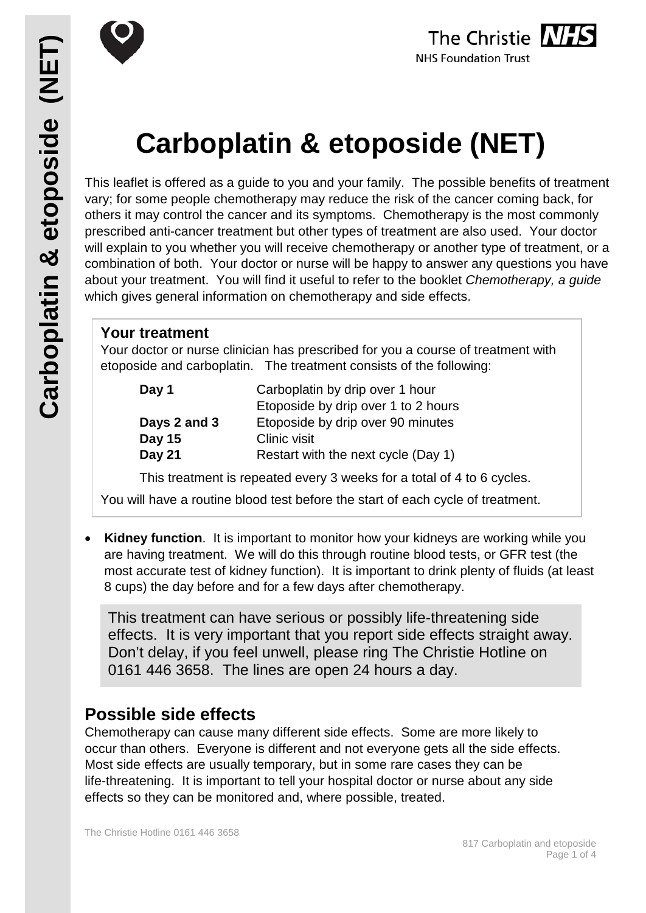



# **Carboplatin & etoposide (NET)**

This leaflet is offered as a guide to you and your family. The possible benefits of treatment vary; for some people chemotherapy may reduce the risk of the cancer coming back, for others it may control the cancer and its symptoms. Chemotherapy is the most commonly prescribed anti-cancer treatment but other types of treatment are also used. Your doctor will explain to you whether you will receive chemotherapy or another type of treatment, or a combination of both. Your doctor or nurse will be happy to answer any questions you have about your treatment. You will find it useful to refer to the booklet *Chemotherapy, a guide* which gives general information on chemotherapy and side effects.

# **Your treatment**

Your doctor or nurse clinician has prescribed for you a course of treatment with etoposide and carboplatin. The treatment consists of the following:

| Day 1         | Carboplatin by drip over 1 hour     |
|---------------|-------------------------------------|
|               | Etoposide by drip over 1 to 2 hours |
| Days 2 and 3  | Etoposide by drip over 90 minutes   |
| Day 15        | Clinic visit                        |
| <b>Day 21</b> | Restart with the next cycle (Day 1) |

This treatment is repeated every 3 weeks for a total of 4 to 6 cycles.

You will have a routine blood test before the start of each cycle of treatment.

**Kidney function.** It is important to monitor how your kidneys are working while you are having treatment. We will do this through routine blood tests, or GFR test (the most accurate test of kidney function). It is important to drink plenty of fluids (at least 8 cups) the day before and for a few days after chemotherapy.

This treatment can have serious or possibly life-threatening side effects. It is very important that you report side effects straight away. Don't delay, if you feel unwell, please ring The Christie Hotline on 0161 446 3658. The lines are open 24 hours a day.

# **Possible side effects**

Chemotherapy can cause many different side effects. Some are more likely to occur than others. Everyone is different and not everyone gets all the side effects. Most side effects are usually temporary, but in some rare cases they can be life-threatening. It is important to tell your hospital doctor or nurse about any side effects so they can be monitored and, where possible, treated.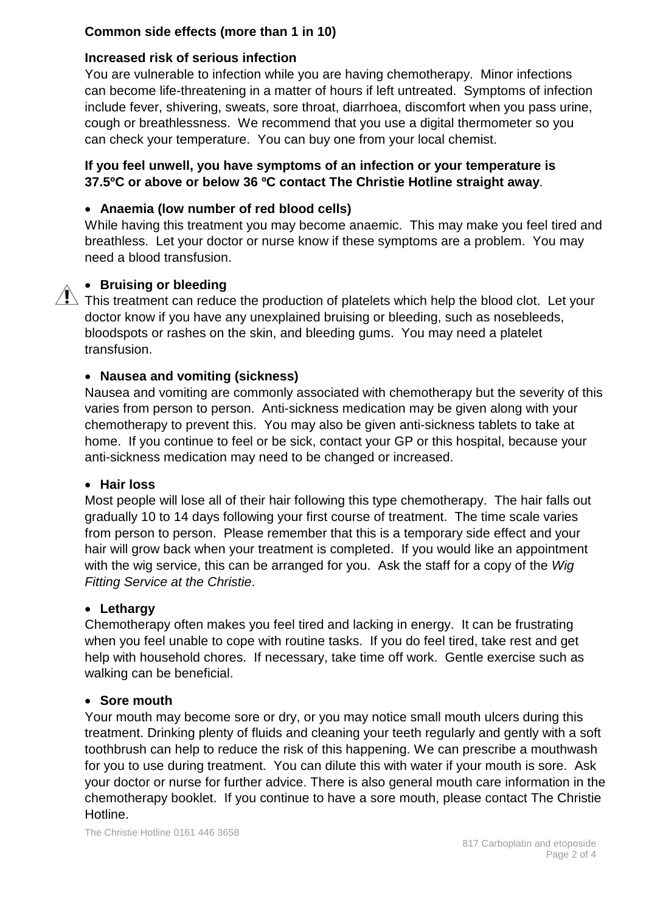# **Common side effects (more than 1 in 10)**

# **Increased risk of serious infection**

You are vulnerable to infection while you are having chemotherapy. Minor infections can become life-threatening in a matter of hours if left untreated. Symptoms of infection include fever, shivering, sweats, sore throat, diarrhoea, discomfort when you pass urine, cough or breathlessness. We recommend that you use a digital thermometer so you can check your temperature. You can buy one from your local chemist.

# **If you feel unwell, you have symptoms of an infection or your temperature is 37.5ºC or above or below 36 ºC contact The Christie Hotline straight away**.

# • **Anaemia (low number of red blood cells)**

While having this treatment you may become anaemic. This may make you feel tired and breathless. Let your doctor or nurse know if these symptoms are a problem. You may need a blood transfusion.

# • **Bruising or bleeding**

 $\triangle$  This treatment can reduce the production of platelets which help the blood clot. Let your doctor know if you have any unexplained bruising or bleeding, such as nosebleeds, bloodspots or rashes on the skin, and bleeding gums. You may need a platelet transfusion.

# • **Nausea and vomiting (sickness)**

Nausea and vomiting are commonly associated with chemotherapy but the severity of this varies from person to person. Anti-sickness medication may be given along with your chemotherapy to prevent this. You may also be given anti-sickness tablets to take at home. If you continue to feel or be sick, contact your GP or this hospital, because your anti-sickness medication may need to be changed or increased.

#### • **Hair loss**

Most people will lose all of their hair following this type chemotherapy. The hair falls out gradually 10 to 14 days following your first course of treatment. The time scale varies from person to person. Please remember that this is a temporary side effect and your hair will grow back when your treatment is completed. If you would like an appointment with the wig service, this can be arranged for you. Ask the staff for a copy of the *Wig Fitting Service at the Christie*.

# • **Lethargy**

Chemotherapy often makes you feel tired and lacking in energy. It can be frustrating when you feel unable to cope with routine tasks. If you do feel tired, take rest and get help with household chores. If necessary, take time off work. Gentle exercise such as walking can be beneficial.

#### • **Sore mouth**

Your mouth may become sore or dry, or you may notice small mouth ulcers during this treatment. Drinking plenty of fluids and cleaning your teeth regularly and gently with a soft toothbrush can help to reduce the risk of this happening. We can prescribe a mouthwash for you to use during treatment. You can dilute this with water if your mouth is sore. Ask your doctor or nurse for further advice. There is also general mouth care information in the chemotherapy booklet. If you continue to have a sore mouth, please contact The Christie Hotline.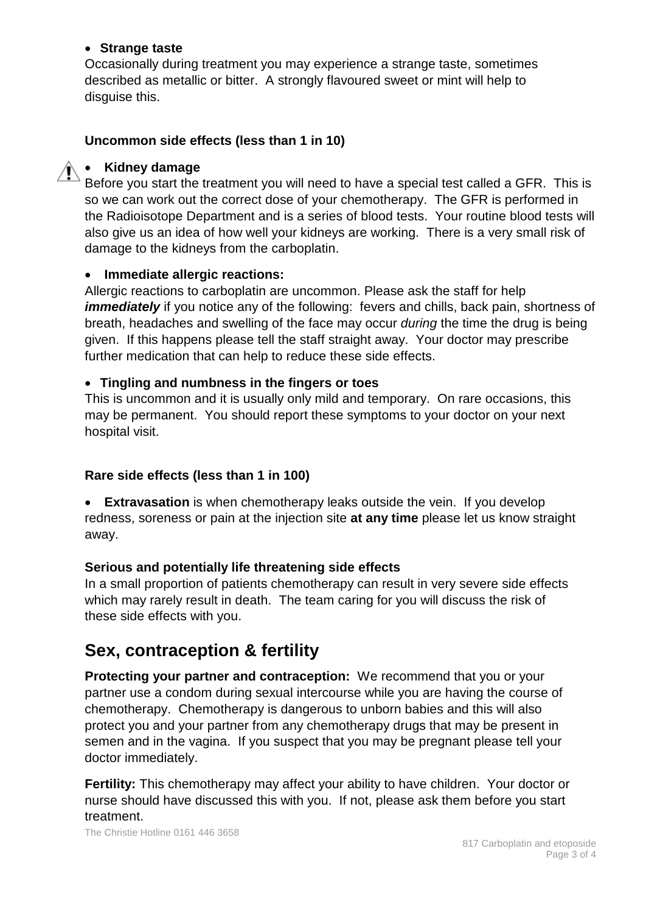#### • **Strange taste**

Occasionally during treatment you may experience a strange taste, sometimes described as metallic or bitter. A strongly flavoured sweet or mint will help to disguise this.

# **Uncommon side effects (less than 1 in 10)**

# • **Kidney damage**

Before you start the treatment you will need to have a special test called a GFR. This is so we can work out the correct dose of your chemotherapy. The GFR is performed in the Radioisotope Department and is a series of blood tests. Your routine blood tests will also give us an idea of how well your kidneys are working. There is a very small risk of damage to the kidneys from the carboplatin.

# • **Immediate allergic reactions:**

Allergic reactions to carboplatin are uncommon. Please ask the staff for help *immediately* if you notice any of the following: fevers and chills, back pain, shortness of breath, headaches and swelling of the face may occur *during* the time the drug is being given. If this happens please tell the staff straight away. Your doctor may prescribe further medication that can help to reduce these side effects.

#### • **Tingling and numbness in the fingers or toes**

This is uncommon and it is usually only mild and temporary. On rare occasions, this may be permanent. You should report these symptoms to your doctor on your next hospital visit.

# **Rare side effects (less than 1 in 100)**

• **Extravasation** is when chemotherapy leaks outside the vein. If you develop redness, soreness or pain at the injection site **at any time** please let us know straight away.

# **Serious and potentially life threatening side effects**

In a small proportion of patients chemotherapy can result in very severe side effects which may rarely result in death. The team caring for you will discuss the risk of these side effects with you.

# **Sex, contraception & fertility**

**Protecting your partner and contraception:** We recommend that you or your partner use a condom during sexual intercourse while you are having the course of chemotherapy. Chemotherapy is dangerous to unborn babies and this will also protect you and your partner from any chemotherapy drugs that may be present in semen and in the vagina. If you suspect that you may be pregnant please tell your doctor immediately.

**Fertility:** This chemotherapy may affect your ability to have children. Your doctor or nurse should have discussed this with you. If not, please ask them before you start treatment.

The Christie Hotline 0161 446 3658